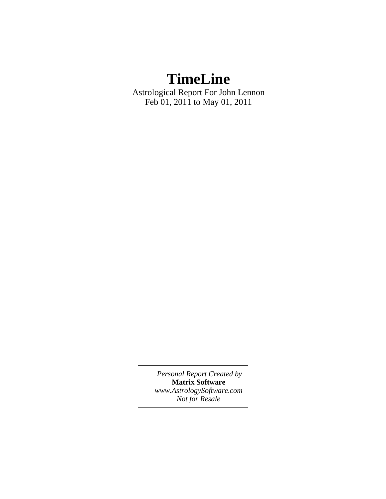# **TimeLine**

Astrological Report For John Lennon Feb 01, 2011 to May 01, 2011

> *Personal Report Created by* **Matrix Software** *www.AstrologySoftware.com Not for Resale*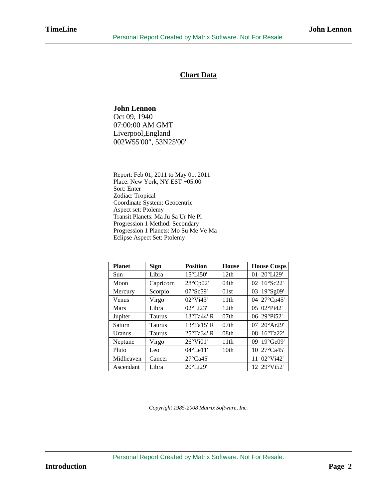## **Chart Data**

## **John Lennon**

Oct 09, 1940 07:00:00 AM GMT Liverpool,England 002W55'00", 53N25'00"

Report: Feb 01, 2011 to May 01, 2011 Place: New York, NY EST +05:00 Sort: Enter Zodiac: Tropical Coordinate System: Geocentric Aspect set: Ptolemy Transit Planets: Ma Ju Sa Ur Ne Pl Progression 1 Method: Secondary Progression 1 Planets: Mo Su Me Ve Ma Eclipse Aspect Set: Ptolemy

| <b>Planet</b> | <b>Sign</b>   | <b>Position</b>       | <b>House</b>     | <b>House Cusps</b> |
|---------------|---------------|-----------------------|------------------|--------------------|
| Sun           | Libra         | $15^{\circ}$ Li50'    | 12th             | 01 20°Li29'        |
| Moon          | Capricorn     | 28°Cp02'              | 04 <sub>th</sub> | 02 16°Sc22'        |
| Mercury       | Scorpio       | 07°Sc59'              | 01st             | 03 19°Sg09'        |
| Venus         | Virgo         | $02^{\circ}$ Vi43'    | 11th             | 04 27°Cp45'        |
| <b>Mars</b>   | Libra         | $02^{\circ}$ Li23'    | 12th             | 05 02°Pi42'        |
| Jupiter       | <b>Taurus</b> | 13°Ta44' R            | 07 <sub>th</sub> | 06 29°Pi52'        |
| Saturn        | <b>Taurus</b> | $13^{\circ}$ Ta15' R  | 07 <sub>th</sub> | 07 20°Ar29'        |
| <b>Uranus</b> | Taurus        | 25°Ta34' R            | 08th             | 08 16°Ta22'        |
| Neptune       | Virgo         | $26^{\circ}$ Vi01'    | 11th             | 09 19°Ge09'        |
| Pluto         | Leo           | $04^{\circ}$ Le $11'$ | 10 <sub>th</sub> | 10 27°Ca45'        |
| Midheaven     | Cancer        | $27^{\circ}$ Ca45'    |                  | 11 02°Vi42'        |
| Ascendant     | Libra         | $20^{\circ}$ Li29'    |                  | 12 29°Vi52'        |

*Copyright 1985-2008 Matrix Software, Inc.*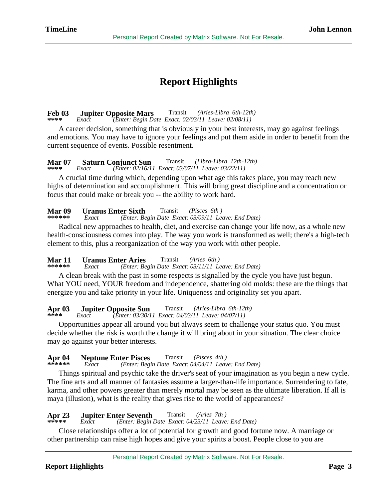## **Report Highlights**

### **Feb 03** Jupiter Opposite Mars<br>\*\*\*\* Exact (Enter: Begin De Transit *(Aries-Libra 6th-12th)*

 **\*\*\*\*** *Exact (Enter: Begin Date Exact: 02/03/11 Leave: 02/08/11)*

 A career decision, something that is obviously in your best interests, may go against feelings and emotions. You may have to ignore your feelings and put them aside in order to benefit from the current sequence of events. Possible resentment.

#### **Mar 07 Saturn Conjunct Sun**<br>\*\*\*\* *Exact (Enter: 02/16/1)*  Transit *(Libra-Libra 12th-12th)*  **\*\*\*\*** *Exact (Enter: 02/16/11 Exact: 03/07/11 Leave: 03/22/11)*

 A crucial time during which, depending upon what age this takes place, you may reach new highs of determination and accomplishment. This will bring great discipline and a concentration or focus that could make or break you -- the ability to work hard.

## **Mar 09** Uranus Enter Sixth<br>\*\*\*\*\*\* Exact (Enter: Be Transit *(Pisces 6th )*

 **\*\*\*\*\*\*** *Exact (Enter: Begin Date Exact: 03/09/11 Leave: End Date)*

 Radical new approaches to health, diet, and exercise can change your life now, as a whole new health-consciousness comes into play. The way you work is transformed as well; there's a high-tech element to this, plus a reorganization of the way you work with other people.

### **Mar 11 Uranus Enter Aries**<br>\*\*\*\*\*\* Exact (Enter: Be Transit *(Aries 6th )*

 **\*\*\*\*\*\*** *Exact (Enter: Begin Date Exact: 03/11/11 Leave: End Date)*

 A clean break with the past in some respects is signalled by the cycle you have just begun. What YOU need, YOUR freedom and independence, shattering old molds: these are the things that energize you and take priority in your life. Uniqueness and originality set you apart.

## **Apr 03** Jupiter Opposite Sun<br>\*\*\*\* Exact (Enter: 03/30/1 Transit *(Aries-Libra 6th-12th)*

 **\*\*\*\*** *Exact (Enter: 03/30/11 Exact: 04/03/11 Leave: 04/07/11)*

 Opportunities appear all around you but always seem to challenge your status quo. You must decide whether the risk is worth the change it will bring about in your situation. The clear choice may go against your better interests.

### **Apr 04 Neptune Enter Pisces**<br>\*\*\*\*\*\* *Exact (Enter: Beg)* Transit *(Pisces 4th )*

 **\*\*\*\*\*\*** *Exact (Enter: Begin Date Exact: 04/04/11 Leave: End Date)*

 Things spiritual and psychic take the driver's seat of your imagination as you begin a new cycle. The fine arts and all manner of fantasies assume a larger-than-life importance. Surrendering to fate, karma, and other powers greater than merely mortal may be seen as the ultimate liberation. If all is maya (illusion), what is the reality that gives rise to the world of appearances?

### **Apr 23** Jupiter Enter Seventh<br>\*\*\*\*\* Exact (Enter: Begin) Transit *(Aries 7th )*

 **\*\*\*\*\*** *Exact (Enter: Begin Date Exact: 04/23/11 Leave: End Date)*

 Close relationships offer a lot of potential for growth and good fortune now. A marriage or other partnership can raise high hopes and give your spirits a boost. People close to you are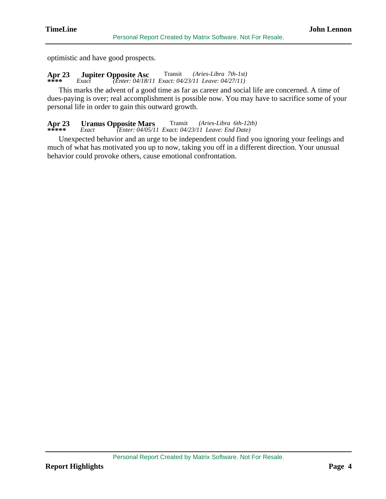optimistic and have good prospects.

## **Apr 23 Jupiter Opposite Asc** Transit *(Aries-Libra 7th-1st)*  **\*\*\*\*** *Exact (Enter: 04/18/11 Exact: 04/23/11 Leave: 04/27/11)*

 This marks the advent of a good time as far as career and social life are concerned. A time of dues-paying is over; real accomplishment is possible now. You may have to sacrifice some of your personal life in order to gain this outward growth.

### **Apr 23** Uranus Opposite Mars<br>\*\*\*\*\* Exact (Enter: 04/05/1) Transit *(Aries-Libra 6th-12th)*

 **\*\*\*\*\*** *Exact (Enter: 04/05/11 Exact: 04/23/11 Leave: End Date)*

 Unexpected behavior and an urge to be independent could find you ignoring your feelings and much of what has motivated you up to now, taking you off in a different direction. Your unusual behavior could provoke others, cause emotional confrontation.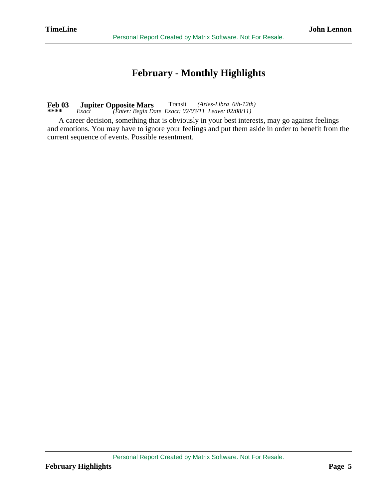## **February - Monthly Highlights**

### **Feb 03** Jupiter Opposite Mars<br>\*\*\*\* Exact (Enter: Begin Do Transit *(Aries-Libra 6th-12th)*  **\*\*\*\*** *Exact (Enter: Begin Date Exact: 02/03/11 Leave: 02/08/11)*

 A career decision, something that is obviously in your best interests, may go against feelings and emotions. You may have to ignore your feelings and put them aside in order to benefit from the current sequence of events. Possible resentment.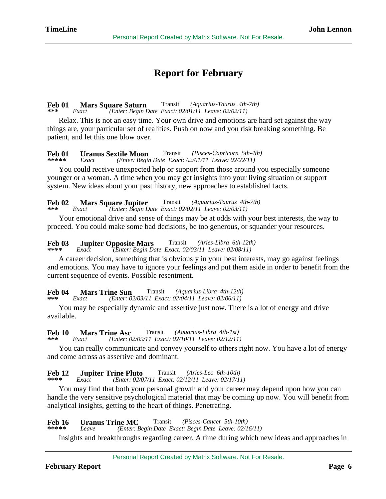## **Report for February**

### **Feb 01 Mars Square Saturn**<br>\*\*\* *Exact (Enter: Begin L*) Transit *(Aquarius-Taurus 4th-7th)*  **\*\*\*** *Exact (Enter: Begin Date Exact: 02/01/11 Leave: 02/02/11)*

 Relax. This is not an easy time. Your own drive and emotions are hard set against the way things are, your particular set of realities. Push on now and you risk breaking something. Be patient, and let this one blow over.

### **Feb 01** Uranus Sextile Moon<br>\*\*\*\*\* Exact (Enter: Begin Transit *(Pisces-Capricorn 5th-4th)*

 **\*\*\*\*\*** *Exact (Enter: Begin Date Exact: 02/01/11 Leave: 02/22/11)*

 You could receive unexpected help or support from those around you especially someone younger or a woman. A time when you may get insights into your living situation or support system. New ideas about your past history, new approaches to established facts.

#### **Feb 02** Mars Square Jupiter<br>\*\*\* Exact (Enter: Begin D Transit *(Aquarius-Taurus 4th-7th)*  **\*\*\*** *Exact (Enter: Begin Date Exact: 02/02/11 Leave: 02/03/11)*

 Your emotional drive and sense of things may be at odds with your best interests, the way to proceed. You could make some bad decisions, be too generous, or squander your resources.

### **Feb 03** Jupiter Opposite Mars<br>\*\*\*\* Exact (Enter: Begin De Transit *(Aries-Libra 6th-12th)*  **\*\*\*\*** *Exact (Enter: Begin Date Exact: 02/03/11 Leave: 02/08/11)*

 A career decision, something that is obviously in your best interests, may go against feelings and emotions. You may have to ignore your feelings and put them aside in order to benefit from the current sequence of events. Possible resentment.

### **Feb 04 Mars Trine Sun**<br>\*\*\* *Exact (Enter: 0)* Transit *(Aquarius-Libra 4th-12th)*

 **\*\*\*** *Exact (Enter: 02/03/11 Exact: 02/04/11 Leave: 02/06/11)*

 You may be especially dynamic and assertive just now. There is a lot of energy and drive available.

### **Feb 10** Mars Trine Asc<br>\*\*\* Exact (Enter: 0) Transit *(Aquarius-Libra 4th-1st)*

 **\*\*\*** *Exact (Enter: 02/09/11 Exact: 02/10/11 Leave: 02/12/11)*

 You can really communicate and convey yourself to others right now. You have a lot of energy and come across as assertive and dominant.

### **Feb 12** Jupiter Trine Pluto<br>\*\*\*\* Exact (Enter: 02/0) Transit *(Aries-Leo 6th-10th)*

 **\*\*\*\*** *Exact (Enter: 02/07/11 Exact: 02/12/11 Leave: 02/17/11)*

 You may find that both your personal growth and your career may depend upon how you can handle the very sensitive psychological material that may be coming up now. You will benefit from analytical insights, getting to the heart of things. Penetrating.

### **Feb 16** Uranus Trine MC<br>\*\*\*\*\* Leave (Enter: Lea Transit *(Pisces-Cancer 5th-10th)*

 **\*\*\*\*\*** *Leave (Enter: Begin Date Exact: Begin Date Leave: 02/16/11)*

Insights and breakthroughs regarding career. A time during which new ideas and approaches in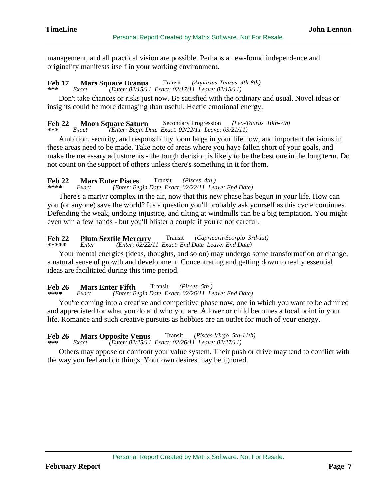management, and all practical vision are possible. Perhaps a new-found independence and originality manifests itself in your working environment.

### **Feb 17 Mars Square Uranus**<br>\*\*\* Exact (*Enter: 02/15/1.* Transit *(Aquarius-Taurus 4th-8th)*

## **\*\*\*** *Exact (Enter: 02/15/11 Exact: 02/17/11 Leave: 02/18/11)*

 Don't take chances or risks just now. Be satisfied with the ordinary and usual. Novel ideas or insights could be more damaging than useful. Hectic emotional energy.

### **Feb 22 Moon Square Saturn** Secondary Progression *(Leo-Taurus 10th-7th)*<br>\*\*\* Exact *(Enter: Begin Date Exact: 02/22/11 Leave: 03/21/11)*  **\*\*\*** *Exact (Enter: Begin Date Exact: 02/22/11 Leave: 03/21/11)*

 Ambition, security, and responsibility loom large in your life now, and important decisions in these areas need to be made. Take note of areas where you have fallen short of your goals, and make the necessary adjustments - the tough decision is likely to be the best one in the long term. Do not count on the support of others unless there's something in it for them.

### **Feb 22 Mars Enter Pisces**<br>\*\*\*\* *Exact (Enter: Bes*) Transit *(Pisces 4th )*

 **\*\*\*\*** *Exact (Enter: Begin Date Exact: 02/22/11 Leave: End Date)*

 There's a martyr complex in the air, now that this new phase has begun in your life. How can you (or anyone) save the world? It's a question you'll probably ask yourself as this cycle continues. Defending the weak, undoing injustice, and tilting at windmills can be a big temptation. You might even win a few hands - but you'll blister a couple if you're not careful.

#### **Feb 22 Pluto Sextile Mercury**<br>\*\*\*\*\* Enter (Enter: 02/22/ Transit *(Capricorn-Scorpio 3rd-1st)*  **\*\*\*\*\*** *Enter (Enter: 02/22/11 Exact: End Date Leave: End Date)*

 Your mental energies (ideas, thoughts, and so on) may undergo some transformation or change, a natural sense of growth and development. Concentrating and getting down to really essential ideas are facilitated during this time period.

### **Feb 26** Mars Enter Fifth<br>\*\*\*\* Exact (Enter: B) Transit *(Pisces 5th )*

## **\*\*\*\*** *Exact (Enter: Begin Date Exact: 02/26/11 Leave: End Date)*

 You're coming into a creative and competitive phase now, one in which you want to be admired and appreciated for what you do and who you are. A lover or child becomes a focal point in your life. Romance and such creative pursuits as hobbies are an outlet for much of your energy.

### **Feb 26 Mars Opposite Venus**<br>\*\*\* *Exact (Enter: 02/25/11)* Transit *(Pisces-Virgo 5th-11th)*

 **\*\*\*** *Exact (Enter: 02/25/11 Exact: 02/26/11 Leave: 02/27/11)*

 Others may oppose or confront your value system. Their push or drive may tend to conflict with the way you feel and do things. Your own desires may be ignored.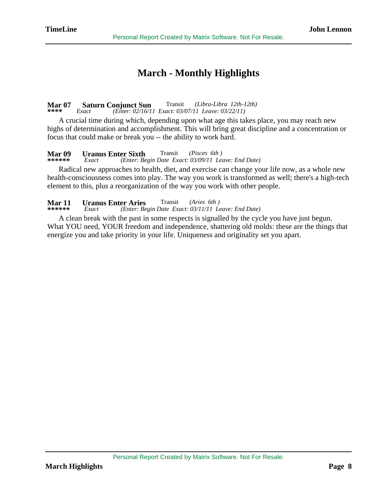## **March - Monthly Highlights**

### **Mar 07 Saturn Conjunct Sun**<br>\*\*\*\* *Exact (Enter: 02/16/1)*  Transit *(Libra-Libra 12th-12th)*  **\*\*\*\*** *Exact (Enter: 02/16/11 Exact: 03/07/11 Leave: 03/22/11)*

 A crucial time during which, depending upon what age this takes place, you may reach new highs of determination and accomplishment. This will bring great discipline and a concentration or focus that could make or break you -- the ability to work hard.

### **Mar 09** Uranus Enter Sixth<br>\*\*\*\*\*\* Exact (Enter: Be Transit *(Pisces 6th )*

 **\*\*\*\*\*\*** *Exact (Enter: Begin Date Exact: 03/09/11 Leave: End Date)*

 Radical new approaches to health, diet, and exercise can change your life now, as a whole new health-consciousness comes into play. The way you work is transformed as well; there's a high-tech element to this, plus a reorganization of the way you work with other people.

### **Mar 11 Uranus Enter Aries**<br>\*\*\*\*\*\* Exact (Enter: Be Transit *(Aries 6th )*

 **\*\*\*\*\*\*** *Exact (Enter: Begin Date Exact: 03/11/11 Leave: End Date)*

 A clean break with the past in some respects is signalled by the cycle you have just begun. What YOU need, YOUR freedom and independence, shattering old molds: these are the things that energize you and take priority in your life. Uniqueness and originality set you apart.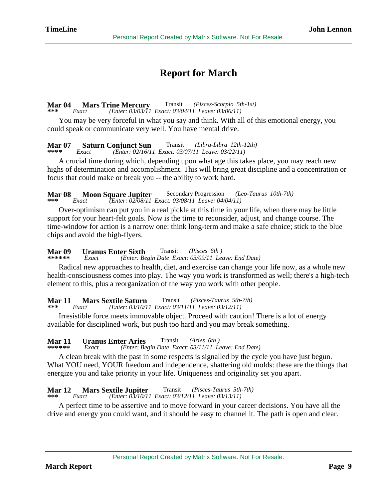## **Report for March**

#### **Mar 04 Mars Trine Mercury**<br>\*\*\* *Exact (Enter: 03/03/11*  Transit *(Pisces-Scorpio 5th-1st)*  **\*\*\*** *Exact (Enter: 03/03/11 Exact: 03/04/11 Leave: 03/06/11)*

 You may be very forceful in what you say and think. With all of this emotional energy, you could speak or communicate very well. You have mental drive.

## **Mar 07 Saturn Conjunct Sun**<br>\*\*\*\* *Exact (Enter: 02/16/11)* Transit *(Libra-Libra 12th-12th)*

 **\*\*\*\*** *Exact (Enter: 02/16/11 Exact: 03/07/11 Leave: 03/22/11)*

 A crucial time during which, depending upon what age this takes place, you may reach new highs of determination and accomplishment. This will bring great discipline and a concentration or focus that could make or break you -- the ability to work hard.

**Mar 08 Moon Square Jupiter** Secondary Progression *(Leo-Taurus 10th-7th)*<br>\*\*\* Exact *(Enter: 02/08/11 Exact: 03/08/11 Leave: 04/04/11)*  **\*\*\*** *Exact (Enter: 02/08/11 Exact: 03/08/11 Leave: 04/04/11)*

 Over-optimism can put you in a real pickle at this time in your life, when there may be little support for your heart-felt goals. Now is the time to reconsider, adjust, and change course. The time-window for action is a narrow one: think long-term and make a safe choice; stick to the blue chips and avoid the high-flyers.

### **Mar 09** Uranus Enter Sixth<br>\*\*\*\*\*\* Exact (Enter: Be Transit *(Pisces 6th )*

 **\*\*\*\*\*\*** *Exact (Enter: Begin Date Exact: 03/09/11 Leave: End Date)*

 Radical new approaches to health, diet, and exercise can change your life now, as a whole new health-consciousness comes into play. The way you work is transformed as well; there's a high-tech element to this, plus a reorganization of the way you work with other people.

## **Mar 11 Mars Sextile Saturn**<br>\*\*\* *Exact (Enter: 03/10/1)* Transit *(Pisces-Taurus 5th-7th)*

 **\*\*\*** *Exact (Enter: 03/10/11 Exact: 03/11/11 Leave: 03/12/11)*

 Irresistible force meets immovable object. Proceed with caution! There is a lot of energy available for disciplined work, but push too hard and you may break something.

### **Mar 11 Uranus Enter Aries**<br>\*\*\*\*\*\* Exact (Enter: Be Transit *(Aries 6th )*

 **\*\*\*\*\*\*** *Exact (Enter: Begin Date Exact: 03/11/11 Leave: End Date)*

 A clean break with the past in some respects is signalled by the cycle you have just begun. What YOU need, YOUR freedom and independence, shattering old molds: these are the things that energize you and take priority in your life. Uniqueness and originality set you apart.

#### **Mar 12 Mars Sextile Jupiter**<br>\*\*\* Exact (Enter: 03/10/1) Transit *(Pisces-Taurus 5th-7th)*  **\*\*\*** *Exact (Enter: 03/10/11 Exact: 03/12/11 Leave: 03/13/11)*

 A perfect time to be assertive and to move forward in your career decisions. You have all the drive and energy you could want, and it should be easy to channel it. The path is open and clear.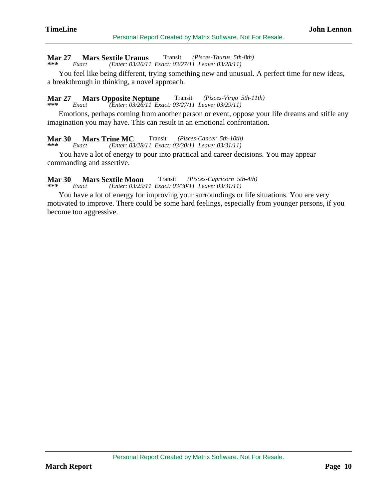#### **Mar 27 Mars Sextile Uranus** Transit *(Pisces-Taurus 5th-8th)*  **\*\*\*** *Exact (Enter: 03/26/11 Exact: 03/27/11 Leave: 03/28/11)*

 You feel like being different, trying something new and unusual. A perfect time for new ideas, a breakthrough in thinking, a novel approach.

### **Mar 27 Mars Opposite Neptune**<br>\*\*\* Exact (Enter: 03/26/11 Ex. Transit *(Pisces-Virgo 5th-11th)*

 **\*\*\*** *Exact (Enter: 03/26/11 Exact: 03/27/11 Leave: 03/29/11)*

 Emotions, perhaps coming from another person or event, oppose your life dreams and stifle any imagination you may have. This can result in an emotional confrontation.

### **Mar 30 Mars Trine MC**<br>\*\*\* *Exact (Enter: 03)* Transit *(Pisces-Cancer 5th-10th)*

 **\*\*\*** *Exact (Enter: 03/28/11 Exact: 03/30/11 Leave: 03/31/11)*

 You have a lot of energy to pour into practical and career decisions. You may appear commanding and assertive.

#### **Mar 30 Mars Sextile Moon**<br>\*\*\* *Exact (Enter: 03/29/*  Transit *(Pisces-Capricorn 5th-4th)*  **\*\*\*** *Exact (Enter: 03/29/11 Exact: 03/30/11 Leave: 03/31/11)*

 You have a lot of energy for improving your surroundings or life situations. You are very motivated to improve. There could be some hard feelings, especially from younger persons, if you become too aggressive.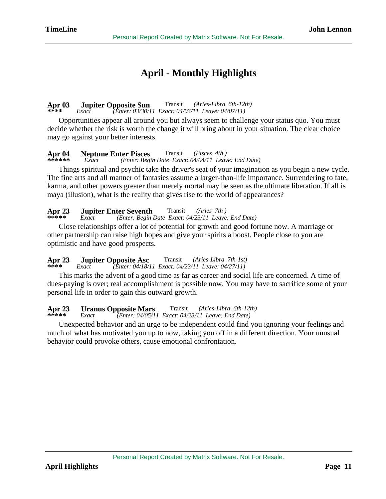## **April - Monthly Highlights**

### **Apr 03** Jupiter Opposite Sun<br>\*\*\*\* Exact (Enter: 03/30/1 Transit *(Aries-Libra 6th-12th)*  **\*\*\*\*** *Exact (Enter: 03/30/11 Exact: 04/03/11 Leave: 04/07/11)*

 Opportunities appear all around you but always seem to challenge your status quo. You must decide whether the risk is worth the change it will bring about in your situation. The clear choice may go against your better interests.

### **Apr 04 Neptune Enter Pisces** Transit *(Pisces 4th )*

 **\*\*\*\*\*\*** *Exact (Enter: Begin Date Exact: 04/04/11 Leave: End Date)*

 Things spiritual and psychic take the driver's seat of your imagination as you begin a new cycle. The fine arts and all manner of fantasies assume a larger-than-life importance. Surrendering to fate, karma, and other powers greater than merely mortal may be seen as the ultimate liberation. If all is maya (illusion), what is the reality that gives rise to the world of appearances?

| Apr 23 |       | <b>Jupiter Enter Seventh</b>                        | Transit | (Aries 7th) |  |
|--------|-------|-----------------------------------------------------|---------|-------------|--|
|        | Exact | (Enter: Begin Date Exact: 04/23/11 Leave: End Date) |         |             |  |

 Close relationships offer a lot of potential for growth and good fortune now. A marriage or other partnership can raise high hopes and give your spirits a boost. People close to you are optimistic and have good prospects.

### **Apr 23 Jupiter Opposite Asc** Transit *(Aries-Libra 7th-1st)*  **\*\*\*\*** *Exact (Enter: 04/18/11 Exact: 04/23/11 Leave: 04/27/11)*

 This marks the advent of a good time as far as career and social life are concerned. A time of dues-paying is over; real accomplishment is possible now. You may have to sacrifice some of your personal life in order to gain this outward growth.

## **Apr 23** Uranus Opposite Mars<br>\*\*\*\*\* Exact (Enter: 04/05/1) Transit *(Aries-Libra 6th-12th)*

 **\*\*\*\*\*** *Exact (Enter: 04/05/11 Exact: 04/23/11 Leave: End Date)*

 Unexpected behavior and an urge to be independent could find you ignoring your feelings and much of what has motivated you up to now, taking you off in a different direction. Your unusual behavior could provoke others, cause emotional confrontation.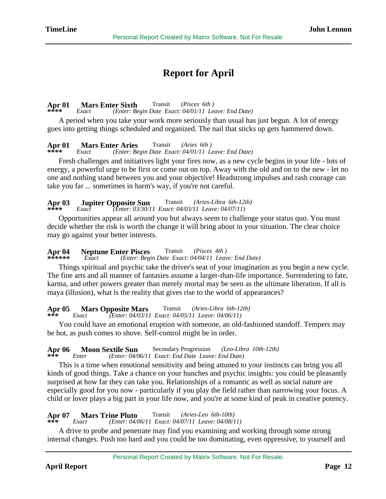## **Report for April**

### **Apr 01 Mars Enter Sixth** Transit *(Pisces 6th )*

 **\*\*\*\*** *Exact (Enter: Begin Date Exact: 04/01/11 Leave: End Date)*

 A period when you take your work more seriously than usual has just begun. A lot of energy goes into getting things scheduled and organized. The nail that sticks up gets hammered down.

### **Apr 01 Mars Enter Aries** Transit *(Aries 6th )*

 **\*\*\*\*** *Exact (Enter: Begin Date Exact: 04/01/11 Leave: End Date)*

 Fresh challenges and initiatives light your fires now, as a new cycle begins in your life - lots of energy, a powerful urge to be first or come out on top. Away with the old and on to the new - let no one and nothing stand between you and your objective! Headstrong impulses and rash courage can take you far ... sometimes in harm's way, if you're not careful.

### **Apr 03** Jupiter Opposite Sun<br>\*\*\*\* Exact (Enter: 03/30/1 Transit *(Aries-Libra 6th-12th)*  **\*\*\*\*** *Exact (Enter: 03/30/11 Exact: 04/03/11 Leave: 04/07/11)*

 Opportunities appear all around you but always seem to challenge your status quo. You must decide whether the risk is worth the change it will bring about in your situation. The clear choice may go against your better interests.

### **Apr 04 Neptune Enter Pisces** Transit *(Pisces 4th )*  **\*\*\*\*\*\*** *Exact (Enter: Begin Date Exact: 04/04/11 Leave: End Date)*

 Things spiritual and psychic take the driver's seat of your imagination as you begin a new cycle. The fine arts and all manner of fantasies assume a larger-than-life importance. Surrendering to fate, karma, and other powers greater than merely mortal may be seen as the ultimate liberation. If all is

maya (illusion), what is the reality that gives rise to the world of appearances?

### **Apr 05 Mars Opposite Mars**<br>\*\*\* *Exact (Enter: 04/03/1)* Transit *(Aries-Libra 6th-12th)*

 **\*\*\*** *Exact (Enter: 04/03/11 Exact: 04/05/11 Leave: 04/06/11)*

 You could have an emotional eruption with someone, an old-fashioned standoff. Tempers may be hot, as push comes to shove. Self-control might be in order.

## **Apr 06 Moon Sextile Sun** Secondary Progression *(Leo-Libra 10th-12th)*  **\*\*\*** *Enter (Enter: 04/06/11 Exact: End Date Leave: End Date)*

 This is a time when emotional sensitivity and being attuned to your instincts can bring you all kinds of good things. Take a chance on your hunches and psychic insights: you could be pleasantly surprised at how far they can take you. Relationships of a romantic as well as social nature are especially good for you now - particularly if you play the field rather than narrowing your focus. A child or lover plays a big part in your life now, and you're at some kind of peak in creative potency.

### **Apr 07 Mars Trine Pluto**<br>\*\*\* *Exact (Enter: 04/* Transit *(Aries-Leo 6th-10th)*

 **\*\*\*** *Exact (Enter: 04/06/11 Exact: 04/07/11 Leave: 04/08/11)*

 A drive to probe and penetrate may find you examining and working through some strong internal changes. Push too hard and you could be too dominating, even oppressive, to yourself and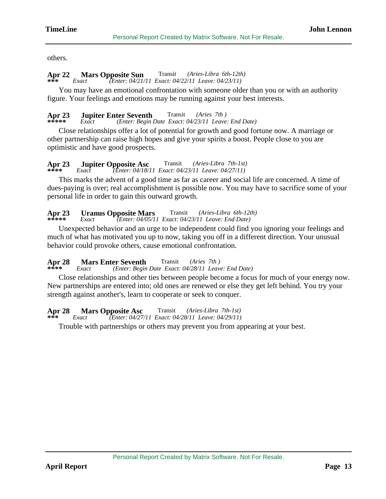others.

### **Apr 22 Mars Opposite Sun** Transit *(Aries-Libra 6th-12th)*  **\*\*\*** *Exact (Enter: 04/21/11 Exact: 04/22/11 Leave: 04/23/11)*

 You may have an emotional confrontation with someone older than you or with an authority figure. Your feelings and emotions may be running against your best interests.

## **Apr 23** Jupiter Enter Seventh<br>\*\*\*\*\* Exact (Enter: Begin) Transit *(Aries 7th )*

 **\*\*\*\*\*** *Exact (Enter: Begin Date Exact: 04/23/11 Leave: End Date)*

 Close relationships offer a lot of potential for growth and good fortune now. A marriage or other partnership can raise high hopes and give your spirits a boost. People close to you are optimistic and have good prospects.

#### **Apr 23 Jupiter Opposite Asc** Transit *(Aries-Libra 7th-1st)*  **\*\*\*\*** *Exact (Enter: 04/18/11 Exact: 04/23/11 Leave: 04/27/11)*

 This marks the advent of a good time as far as career and social life are concerned. A time of dues-paying is over; real accomplishment is possible now. You may have to sacrifice some of your personal life in order to gain this outward growth.

### **Apr 23 Uranus Opposite Mars** Transit *(Aries-Libra 6th-12th)*  **\*\*\*\*\*** *Exact (Enter: 04/05/11 Exact: 04/23/11 Leave: End Date)*

 Unexpected behavior and an urge to be independent could find you ignoring your feelings and much of what has motivated you up to now, taking you off in a different direction. Your unusual behavior could provoke others, cause emotional confrontation.

### **Apr 28 Mars Enter Seventh**<br>\*\*\*\* *Exact (Enter: Begin*) Transit *(Aries 7th )*

 **\*\*\*\*** *Exact (Enter: Begin Date Exact: 04/28/11 Leave: End Date)*

 Close relationships and other ties between people become a focus for much of your energy now. New partnerships are entered into; old ones are renewed or else they get left behind. You try your strength against another's, learn to cooperate or seek to conquer.

### **Apr 28 Mars Opposite Asc** Transit *(Aries-Libra 7th-1st)*

 **\*\*\*** *Exact (Enter: 04/27/11 Exact: 04/28/11 Leave: 04/29/11)*

Trouble with partnerships or others may prevent you from appearing at your best.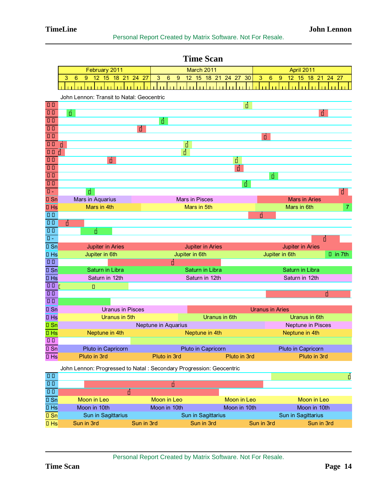|                                       |                                                                     | mn dum                                 |                                                                |
|---------------------------------------|---------------------------------------------------------------------|----------------------------------------|----------------------------------------------------------------|
|                                       | February 2011                                                       | March 2011                             | April 2011                                                     |
|                                       | 18 21 24 27<br>3<br>12 15<br>6<br>9                                 | 3<br>6<br>12 15 18 21 24 27<br>30<br>9 | 3<br>$6\phantom{1}6$<br>9<br>12 <sup>7</sup><br>15 18 21 24 27 |
|                                       |                                                                     |                                        |                                                                |
|                                       | John Lennon: Transit to Natal: Geocentric                           |                                        |                                                                |
| $\overline{d^{\prime }\mathfrak{D}}$  |                                                                     | $\overline{\star}$                     |                                                                |
| $\overline{d^{n}O}$                   | $\Delta$                                                            |                                        | $\sigma$                                                       |
| $\sigma$ <sup>7</sup>                 |                                                                     | $\overline{\mathbb{A}}$                |                                                                |
| $\overline{q_4}$                      | ഄ഻഻                                                                 |                                        |                                                                |
| $\overline{d^{n}d^{n}}$               |                                                                     |                                        | မှ                                                             |
| $\overline{q}$ <sup>7</sup>           | Ó                                                                   | $\overline{\star}$                     |                                                                |
| $\sigma$ $\phi$                       | Ξ                                                                   | $\overline{\mathbf{\dot{\star}}}$      |                                                                |
| <sub>24</sub>                         | □                                                                   | $\overline{\star}$                     |                                                                |
| $\overline{d^{\prime }\Psi }$         |                                                                     | $\overline{b}$                         |                                                                |
| $\overline{\sigma^2}$                 |                                                                     |                                        | Ă                                                              |
| $\sigma$ Mc                           |                                                                     | Δ                                      |                                                                |
| $\overline{C}^T$ Asc                  | Ă                                                                   |                                        | $\sigma$                                                       |
| ♂Sn                                   | <b>Mars in Aquarius</b>                                             | <b>Mars in Pisces</b>                  | <b>Mars in Aries</b>                                           |
| o <sup>n</sup> Hs                     | Mars in 4th                                                         | Mars in 5th                            | Mars in 6th<br>$\overline{7}$                                  |
| 40                                    |                                                                     |                                        | $\sigma$                                                       |
| 40 <sup>7</sup>                       | $\sigma$                                                            |                                        |                                                                |
| 4                                     | Δ                                                                   |                                        |                                                                |
| $4$ Asc                               |                                                                     |                                        | $\sigma$                                                       |
| 4Sn                                   | <b>Jupiter in Aries</b>                                             | <b>Jupiter in Aries</b>                | <b>Jupiter in Aries</b>                                        |
| 4Hs                                   | Jupiter in 6th                                                      | Jupiter in 6th                         | Jupiter in 6th<br>$4$ in 7th                                   |
| $\overline{\hbar\odot}$               |                                                                     | $\alpha$                               |                                                                |
| $†$ Sn                                | <b>Saturn in Libra</b>                                              | Saturn in Libra                        | <b>Saturn in Libra</b>                                         |
| $†$ Hs<br>$\overline{\texttt{YD}}$ )  | Saturn in 12th                                                      | Saturn in 12th                         | Saturn in 12th                                                 |
| मुल                                   | $\star$                                                             |                                        | $\overline{b}$                                                 |
| 방MC                                   |                                                                     |                                        |                                                                |
| <b>방Sn</b>                            | <b>Uranus in Pisces</b>                                             |                                        | <b>Uranus in Aries</b>                                         |
| 방Hs                                   | Uranus in 5th                                                       | <b>Uranus in 6th</b>                   | <b>Uranus in 6th</b>                                           |
| $\mathcal{\Psi}$ Sn                   |                                                                     | Neptune in Aquarius                    | <b>Neptune in Pisces</b>                                       |
| 4Hs                                   | Neptune in 4th                                                      | Neptune in 4th                         | Neptune in 4th                                                 |
| $\overline{\varphi \varphi}$ .        |                                                                     |                                        |                                                                |
| $\sqrt{\frac{6}{5}}$                  | Pluto in Capricorn                                                  | Pluto in Capricorn                     | Pluto in Capricorn                                             |
| $\sqrt{\frac{6}{15}}$                 | Pluto in 3rd                                                        | Pluto in 3rd<br>Pluto in 3rd           | Pluto in 3rd                                                   |
|                                       |                                                                     |                                        |                                                                |
|                                       | John Lennon: Progressed to Natal: Secondary Progression: Geocentric |                                        |                                                                |
| $\overline{20}$                       |                                                                     |                                        | $\star$                                                        |
| $\overline{D4}$                       |                                                                     | ò                                      |                                                                |
| $\overline{\mathfrak{D}}\mathfrak{h}$ | Ē                                                                   |                                        |                                                                |
| $\overline{DSn}$                      | Moon in Leo                                                         | Moon in Leo<br>Moon in Leo             | Moon in Leo                                                    |
| $\overline{DHS}$                      | Moon in 10th                                                        | Moon in 10th<br>Moon in 10th           | Moon in 10th                                                   |
| OSn                                   | Sun in Sagittarius                                                  | Sun in Sagittarius                     | Sun in Sagittarius                                             |

 **Time Scan**

Franch Sun in Sagittarius Sun in Sagittarius Sun in Sagittarius Sun in Sagittarius Sun in Sagittarius Sun in Srd<br>Sun in Srd Sun in Srd Sun in Srd Sun in Srd Sun in Srd Sun in Srd Sun in Srd Sun in Srd Sun in Srd Sun in Srd ¢Hs Sun in 3rd Sun in 3rd Sun in 3rd Sun in 3rd Sun in 3rd